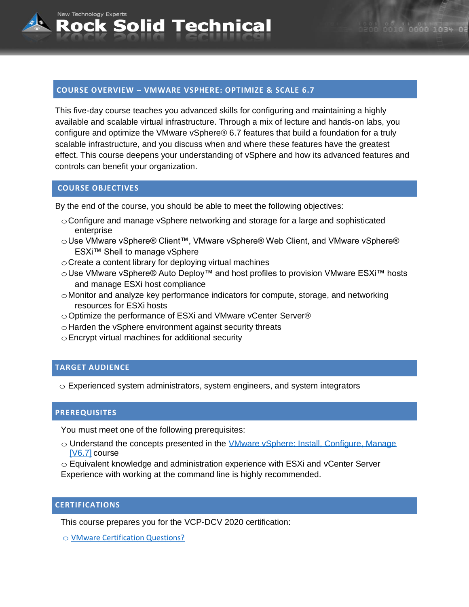# **COURSE OVERVIEW – VMWARE VSPHERE: OPTIMIZE & SCALE 6.7**

**Rock Solid Technical** 

This five-day course teaches you advanced skills for configuring and maintaining a highly available and scalable virtual infrastructure. Through a mix of lecture and hands-on labs, you configure and optimize the VMware vSphere® 6.7 features that build a foundation for a truly scalable infrastructure, and you discuss when and where these features have the greatest effect. This course deepens your understanding of vSphere and how its advanced features and controls can benefit your organization.

#### **COURSE OBJECTIVES**

New Technology Experts

By the end of the course, you should be able to meet the following objectives:

- $\circ$  Configure and manage vSphere networking and storage for a large and sophisticated enterprise
- oUse VMware vSphere® Client™, VMware vSphere® Web Client, and VMware vSphere® ESXi™ Shell to manage vSphere
- $\circ$  Create a content library for deploying virtual machines
- oUse VMware vSphere® Auto Deploy™ and host profiles to provision VMware ESXi™ hosts and manage ESXi host compliance
- oMonitor and analyze key performance indicators for compute, storage, and networking resources for ESXi hosts
- oOptimize the performance of ESXi and VMware vCenter Server®
- $\circ$  Harden the vSphere environment against security threats
- $\circ$  Encrypt virtual machines for additional security

# **TARGET AUDIENCE**

 $\circ$  Experienced system administrators, system engineers, and system integrators

#### **PREREQUISITES**

You must meet one of the following prerequisites:

- $\circ$  Understand the concepts presented in the VMware vSphere: Install, Configure, Manage [V6.7] course
- o Equivalent knowledge and administration experience with ESXi and vCenter Server Experience with working at the command line is highly recommended.

# **CERTIFICATIONS**

This course prepares you for the VCP-DCV 2020 certification:

o [VMware Certification Questions?](mailto:sales@rocksolidtechnical.com?subject=VMware%20Certification%20Question)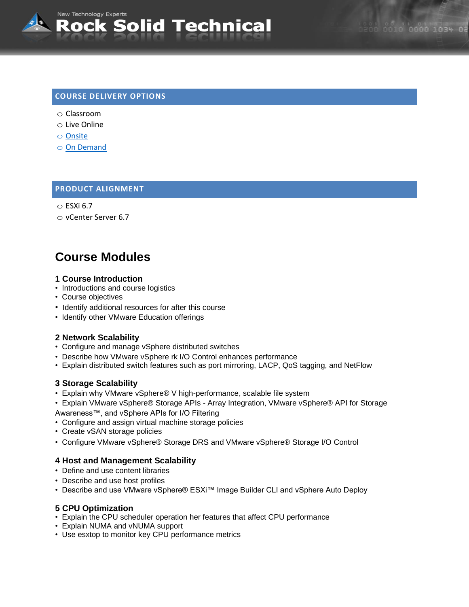# 0010 0000 1034 02

# **COURSE DELIVERY OPTIONS**

o Classroom

New Technology Experts

- o Live Online
- o [Onsite](mailto:sales@rocksolidtechnical.com?subject=On-Site%20Inquiry)
- o [On Demand](mailto:sales@rocksolidtechnical.com?subject=On-Site%20Inquiry)

# **PRODUCT ALIGNMENT**

```
\circ ESXi 6.7
```
o vCenter Server 6.7

# **Course Modules**

#### **1 Course Introduction**

- Introductions and course logistics
- Course objectives
- Identify additional resources for after this course
- Identify other VMware Education offerings

# **2 Network Scalability**

- Configure and manage vSphere distributed switches
- Describe how VMware vSphere rk I/O Control enhances performance
- Explain distributed switch features such as port mirroring, LACP, QoS tagging, and NetFlow

#### **3 Storage Scalability**

- Explain why VMware vSphere® V high-performance, scalable file system
- Explain VMware vSphere® Storage APIs Array Integration, VMware vSphere® API for Storage
- Awareness™, and vSphere APIs for I/O Filtering
- Configure and assign virtual machine storage policies
- Create vSAN storage policies
- Configure VMware vSphere® Storage DRS and VMware vSphere® Storage I/O Control

# **4 Host and Management Scalability**

- Define and use content libraries
- Describe and use host profiles
- Describe and use VMware vSphere® ESXi™ Image Builder CLI and vSphere Auto Deploy

#### **5 CPU Optimization**

- Explain the CPU scheduler operation her features that affect CPU performance
- Explain NUMA and vNUMA support
- Use esxtop to monitor key CPU performance metrics